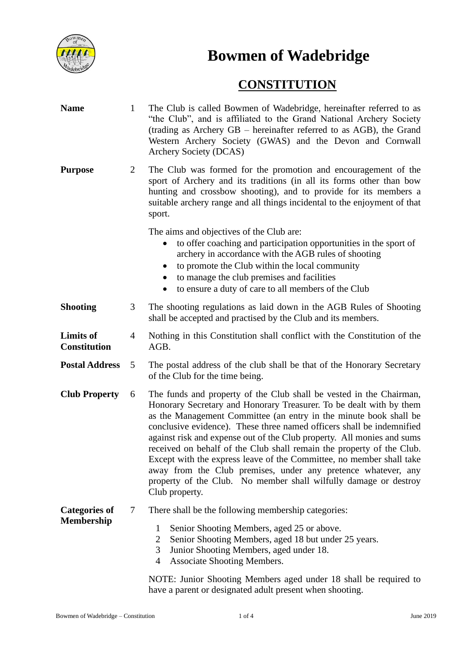

**Bowmen of Wadebridge**

## **CONSTITUTION**

| <b>Name</b>                               | $\mathbf{1}$   | The Club is called Bowmen of Wadebridge, hereinafter referred to as<br>"the Club", and is affiliated to the Grand National Archery Society<br>(trading as Archery GB – hereinafter referred to as AGB), the Grand<br>Western Archery Society (GWAS) and the Devon and Cornwall<br>Archery Society (DCAS)                                                                                                                                                                                                                                                                                                                                                                   |
|-------------------------------------------|----------------|----------------------------------------------------------------------------------------------------------------------------------------------------------------------------------------------------------------------------------------------------------------------------------------------------------------------------------------------------------------------------------------------------------------------------------------------------------------------------------------------------------------------------------------------------------------------------------------------------------------------------------------------------------------------------|
| <b>Purpose</b>                            | 2              | The Club was formed for the promotion and encouragement of the<br>sport of Archery and its traditions (in all its forms other than bow<br>hunting and crossbow shooting), and to provide for its members a<br>suitable archery range and all things incidental to the enjoyment of that<br>sport.                                                                                                                                                                                                                                                                                                                                                                          |
|                                           |                | The aims and objectives of the Club are:<br>to offer coaching and participation opportunities in the sport of<br>archery in accordance with the AGB rules of shooting<br>to promote the Club within the local community<br>to manage the club premises and facilities<br>to ensure a duty of care to all members of the Club                                                                                                                                                                                                                                                                                                                                               |
| <b>Shooting</b>                           | 3              | The shooting regulations as laid down in the AGB Rules of Shooting<br>shall be accepted and practised by the Club and its members.                                                                                                                                                                                                                                                                                                                                                                                                                                                                                                                                         |
| <b>Limits of</b><br><b>Constitution</b>   | $\overline{4}$ | Nothing in this Constitution shall conflict with the Constitution of the<br>AGB.                                                                                                                                                                                                                                                                                                                                                                                                                                                                                                                                                                                           |
| <b>Postal Address</b>                     | 5              | The postal address of the club shall be that of the Honorary Secretary<br>of the Club for the time being.                                                                                                                                                                                                                                                                                                                                                                                                                                                                                                                                                                  |
| <b>Club Property</b>                      | 6              | The funds and property of the Club shall be vested in the Chairman,<br>Honorary Secretary and Honorary Treasurer. To be dealt with by them<br>as the Management Committee (an entry in the minute book shall be<br>conclusive evidence). These three named officers shall be indemnified<br>against risk and expense out of the Club property. All monies and sums<br>received on behalf of the Club shall remain the property of the Club.<br>Except with the express leave of the Committee, no member shall take<br>away from the Club premises, under any pretence whatever, any<br>property of the Club. No member shall wilfully damage or destroy<br>Club property. |
| <b>Categories of</b><br><b>Membership</b> | 7              | There shall be the following membership categories:<br>Senior Shooting Members, aged 25 or above.<br>1<br>$\overline{2}$<br>Senior Shooting Members, aged 18 but under 25 years.<br>3<br>Junior Shooting Members, aged under 18.<br><b>Associate Shooting Members.</b><br>4<br>NOTE: Junior Shooting Members aged under 18 shall be required to<br>have a parent or designated adult present when shooting.                                                                                                                                                                                                                                                                |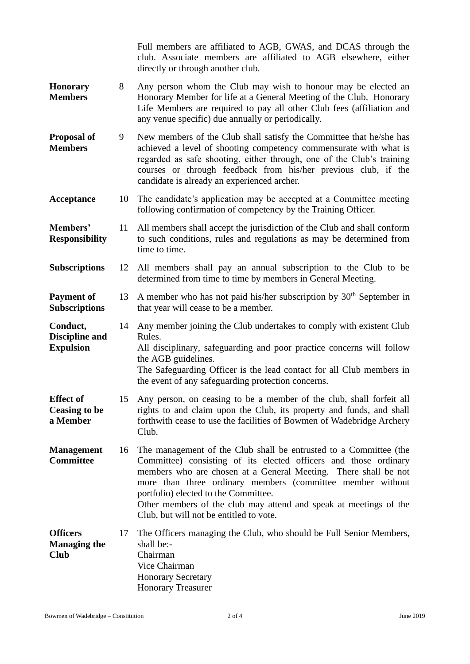|                                                       |    | Full members are affiliated to AGB, GWAS, and DCAS through the<br>club. Associate members are affiliated to AGB elsewhere, either<br>directly or through another club.                                                                                                                                                                                                                                                         |
|-------------------------------------------------------|----|--------------------------------------------------------------------------------------------------------------------------------------------------------------------------------------------------------------------------------------------------------------------------------------------------------------------------------------------------------------------------------------------------------------------------------|
| Honorary<br><b>Members</b>                            | 8  | Any person whom the Club may wish to honour may be elected an<br>Honorary Member for life at a General Meeting of the Club. Honorary<br>Life Members are required to pay all other Club fees (affiliation and<br>any venue specific) due annually or periodically.                                                                                                                                                             |
| <b>Proposal of</b><br><b>Members</b>                  | 9  | New members of the Club shall satisfy the Committee that he/she has<br>achieved a level of shooting competency commensurate with what is<br>regarded as safe shooting, either through, one of the Club's training<br>courses or through feedback from his/her previous club, if the<br>candidate is already an experienced archer.                                                                                             |
| Acceptance                                            | 10 | The candidate's application may be accepted at a Committee meeting<br>following confirmation of competency by the Training Officer.                                                                                                                                                                                                                                                                                            |
| Members'<br><b>Responsibility</b>                     | 11 | All members shall accept the jurisdiction of the Club and shall conform<br>to such conditions, rules and regulations as may be determined from<br>time to time.                                                                                                                                                                                                                                                                |
| <b>Subscriptions</b>                                  | 12 | All members shall pay an annual subscription to the Club to be<br>determined from time to time by members in General Meeting.                                                                                                                                                                                                                                                                                                  |
| <b>Payment of</b><br><b>Subscriptions</b>             | 13 | A member who has not paid his/her subscription by $30th$ September in<br>that year will cease to be a member.                                                                                                                                                                                                                                                                                                                  |
| Conduct,<br><b>Discipline and</b><br><b>Expulsion</b> | 14 | Any member joining the Club undertakes to comply with existent Club<br>Rules.<br>All disciplinary, safeguarding and poor practice concerns will follow<br>the AGB guidelines.<br>The Safeguarding Officer is the lead contact for all Club members in<br>the event of any safeguarding protection concerns.                                                                                                                    |
| <b>Effect</b> of<br><b>Ceasing to be</b><br>a Member  | 15 | Any person, on ceasing to be a member of the club, shall forfeit all<br>rights to and claim upon the Club, its property and funds, and shall<br>forthwith cease to use the facilities of Bowmen of Wadebridge Archery<br>Club.                                                                                                                                                                                                 |
| <b>Management</b><br><b>Committee</b>                 | 16 | The management of the Club shall be entrusted to a Committee (the<br>Committee) consisting of its elected officers and those ordinary<br>members who are chosen at a General Meeting. There shall be not<br>more than three ordinary members (committee member without<br>portfolio) elected to the Committee.<br>Other members of the club may attend and speak at meetings of the<br>Club, but will not be entitled to vote. |
| <b>Officers</b><br><b>Managing the</b><br><b>Club</b> | 17 | The Officers managing the Club, who should be Full Senior Members,<br>shall be:-<br>Chairman<br>Vice Chairman<br><b>Honorary Secretary</b><br><b>Honorary Treasurer</b>                                                                                                                                                                                                                                                        |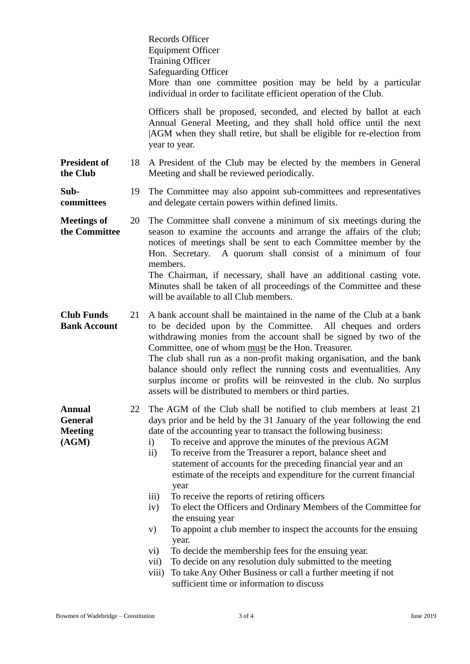|                                                            |    | <b>Records Officer</b><br><b>Equipment Officer</b><br><b>Training Officer</b><br>Safeguarding Officer<br>More than one committee position may be held by a particular<br>individual in order to facilitate efficient operation of the Club.                                                                                                                                                                                                                                                                                                                                                                                                                                                                                                                                                                                                                                                                                                                                                                                                          |
|------------------------------------------------------------|----|------------------------------------------------------------------------------------------------------------------------------------------------------------------------------------------------------------------------------------------------------------------------------------------------------------------------------------------------------------------------------------------------------------------------------------------------------------------------------------------------------------------------------------------------------------------------------------------------------------------------------------------------------------------------------------------------------------------------------------------------------------------------------------------------------------------------------------------------------------------------------------------------------------------------------------------------------------------------------------------------------------------------------------------------------|
|                                                            |    | Officers shall be proposed, seconded, and elected by ballot at each<br>Annual General Meeting, and they shall hold office until the next<br>AGM when they shall retire, but shall be eligible for re-election from<br>year to year.                                                                                                                                                                                                                                                                                                                                                                                                                                                                                                                                                                                                                                                                                                                                                                                                                  |
| <b>President of</b><br>the Club                            | 18 | A President of the Club may be elected by the members in General<br>Meeting and shall be reviewed periodically.                                                                                                                                                                                                                                                                                                                                                                                                                                                                                                                                                                                                                                                                                                                                                                                                                                                                                                                                      |
| Sub-<br>committees                                         | 19 | The Committee may also appoint sub-committees and representatives<br>and delegate certain powers within defined limits.                                                                                                                                                                                                                                                                                                                                                                                                                                                                                                                                                                                                                                                                                                                                                                                                                                                                                                                              |
| <b>Meetings of</b><br>the Committee                        | 20 | The Committee shall convene a minimum of six meetings during the<br>season to examine the accounts and arrange the affairs of the club;<br>notices of meetings shall be sent to each Committee member by the<br>Hon. Secretary. A quorum shall consist of a minimum of four<br>members.<br>The Chairman, if necessary, shall have an additional casting vote.                                                                                                                                                                                                                                                                                                                                                                                                                                                                                                                                                                                                                                                                                        |
|                                                            |    | Minutes shall be taken of all proceedings of the Committee and these<br>will be available to all Club members.                                                                                                                                                                                                                                                                                                                                                                                                                                                                                                                                                                                                                                                                                                                                                                                                                                                                                                                                       |
| <b>Club Funds</b><br><b>Bank Account</b>                   | 21 | A bank account shall be maintained in the name of the Club at a bank<br>to be decided upon by the Committee. All cheques and orders<br>withdrawing monies from the account shall be signed by two of the<br>Committee, one of whom must be the Hon. Treasurer.<br>The club shall run as a non-profit making organisation, and the bank<br>balance should only reflect the running costs and eventualities. Any<br>surplus income or profits will be reinvested in the club. No surplus<br>assets will be distributed to members or third parties.                                                                                                                                                                                                                                                                                                                                                                                                                                                                                                    |
| <b>Annual</b><br><b>General</b><br><b>Meeting</b><br>(AGM) | 22 | The AGM of the Club shall be notified to club members at least 21<br>days prior and be held by the 31 January of the year following the end<br>date of the accounting year to transact the following business:<br>To receive and approve the minutes of the previous AGM<br>$\ddot{\textbf{i}}$<br>$\mathbf{ii}$<br>To receive from the Treasurer a report, balance sheet and<br>statement of accounts for the preceding financial year and an<br>estimate of the receipts and expenditure for the current financial<br>year<br>To receive the reports of retiring officers<br>$\overline{iii}$<br>To elect the Officers and Ordinary Members of the Committee for<br>iv)<br>the ensuing year<br>To appoint a club member to inspect the accounts for the ensuing<br>V)<br>year.<br>To decide the membership fees for the ensuing year.<br>$\mathbf{v}$ i)<br>To decide on any resolution duly submitted to the meeting<br>vii)<br>To take Any Other Business or call a further meeting if not<br>viii)<br>sufficient time or information to discuss |